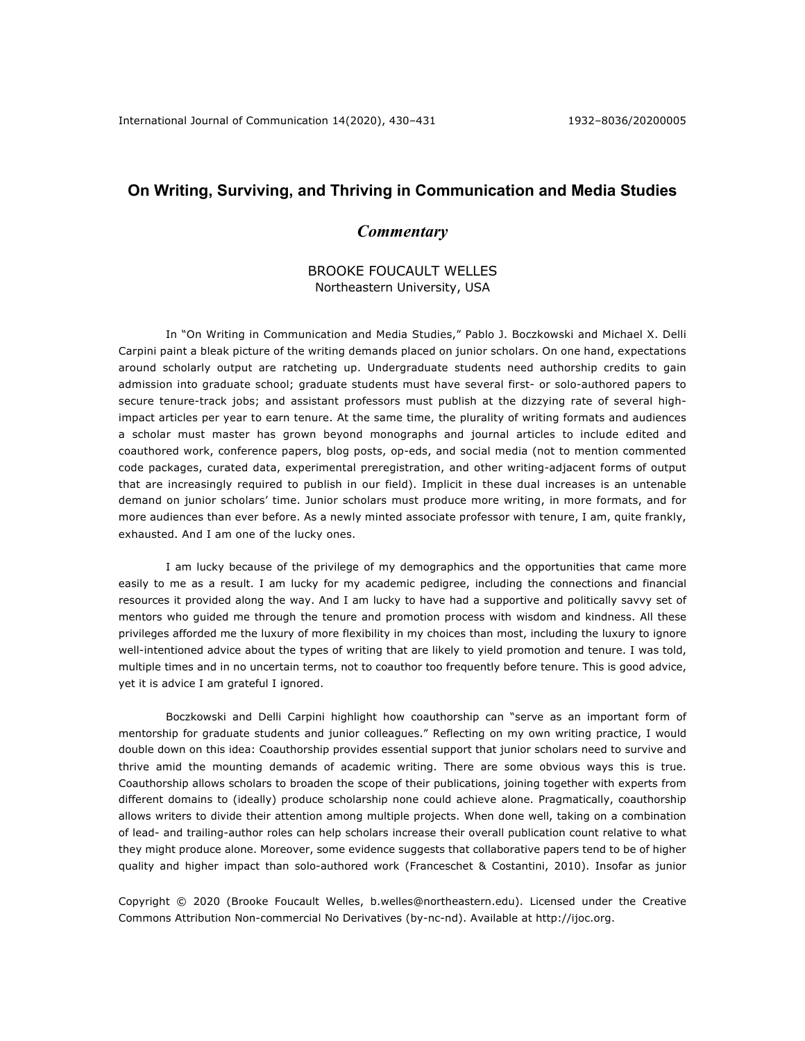## **On Writing, Surviving, and Thriving in Communication and Media Studies**

## *Commentary*

## BROOKE FOUCAULT WELLES Northeastern University, USA

In "On Writing in Communication and Media Studies," Pablo J. Boczkowski and Michael X. Delli Carpini paint a bleak picture of the writing demands placed on junior scholars. On one hand, expectations around scholarly output are ratcheting up. Undergraduate students need authorship credits to gain admission into graduate school; graduate students must have several first- or solo-authored papers to secure tenure-track jobs; and assistant professors must publish at the dizzying rate of several highimpact articles per year to earn tenure. At the same time, the plurality of writing formats and audiences a scholar must master has grown beyond monographs and journal articles to include edited and coauthored work, conference papers, blog posts, op-eds, and social media (not to mention commented code packages, curated data, experimental preregistration, and other writing-adjacent forms of output that are increasingly required to publish in our field). Implicit in these dual increases is an untenable demand on junior scholars' time. Junior scholars must produce more writing, in more formats, and for more audiences than ever before. As a newly minted associate professor with tenure, I am, quite frankly, exhausted. And I am one of the lucky ones.

I am lucky because of the privilege of my demographics and the opportunities that came more easily to me as a result. I am lucky for my academic pedigree, including the connections and financial resources it provided along the way. And I am lucky to have had a supportive and politically savvy set of mentors who guided me through the tenure and promotion process with wisdom and kindness. All these privileges afforded me the luxury of more flexibility in my choices than most, including the luxury to ignore well-intentioned advice about the types of writing that are likely to yield promotion and tenure. I was told, multiple times and in no uncertain terms, not to coauthor too frequently before tenure. This is good advice, yet it is advice I am grateful I ignored.

Boczkowski and Delli Carpini highlight how coauthorship can "serve as an important form of mentorship for graduate students and junior colleagues." Reflecting on my own writing practice, I would double down on this idea: Coauthorship provides essential support that junior scholars need to survive and thrive amid the mounting demands of academic writing. There are some obvious ways this is true. Coauthorship allows scholars to broaden the scope of their publications, joining together with experts from different domains to (ideally) produce scholarship none could achieve alone. Pragmatically, coauthorship allows writers to divide their attention among multiple projects. When done well, taking on a combination of lead- and trailing-author roles can help scholars increase their overall publication count relative to what they might produce alone. Moreover, some evidence suggests that collaborative papers tend to be of higher quality and higher impact than solo-authored work (Franceschet & Costantini, 2010). Insofar as junior

Copyright © 2020 (Brooke Foucault Welles, b.welles@northeastern.edu). Licensed under the Creative Commons Attribution Non-commercial No Derivatives (by-nc-nd). Available at http://ijoc.org.